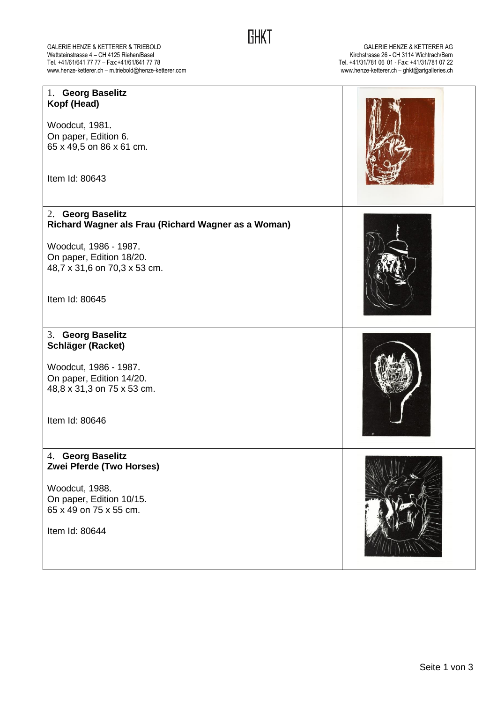GALERIE HENZE & KETTERER & TRIEBOLD<br>GALERIE HENZE & KETTERER AG<br>Tel. +41/61/641 77 77 – Fax:+41/61/641 77 78<br>Tel. +41/31/781 06 01 - Fax:+41/31/781 07 22 Wettsteinstrasse 4 – CH 4125 Riehen/Basel Kirchstrasse 26 - CH 3114 Wichtrach/Bern Tel. +41/61/641 77 77 – Fax:+41/61/641 77 78 Tel. +41/31/781 06 01 - Fax: +41/31/781 07 22 www.henze-ketterer.ch – m.triebold@henze-ketterer.com www.henze-ketterer.ch – ghkt@artgalleries.ch

| 1. Georg Baselitz<br>Kopf (Head)                                         |  |
|--------------------------------------------------------------------------|--|
| Woodcut, 1981.                                                           |  |
| On paper, Edition 6.                                                     |  |
| 65 x 49,5 on 86 x 61 cm.                                                 |  |
| Item Id: 80643                                                           |  |
| 2. Georg Baselitz<br>Richard Wagner als Frau (Richard Wagner as a Woman) |  |
| Woodcut, 1986 - 1987.                                                    |  |
| On paper, Edition 18/20.                                                 |  |
| 48,7 x 31,6 on 70,3 x 53 cm.                                             |  |
| Item Id: 80645                                                           |  |
|                                                                          |  |
| 3. Georg Baselitz                                                        |  |
| Schläger (Racket)                                                        |  |
|                                                                          |  |
| Woodcut, 1986 - 1987.                                                    |  |
| On paper, Edition 14/20.<br>48,8 x 31,3 on 75 x 53 cm.                   |  |
|                                                                          |  |
| Item Id: 80646                                                           |  |
|                                                                          |  |
| 4. Georg Baselitz<br>Zwei Pferde (Two Horses)                            |  |
| Woodcut, 1988.                                                           |  |
| On paper, Edition 10/15.                                                 |  |
| 65 x 49 on 75 x 55 cm.                                                   |  |
| Item Id: 80644                                                           |  |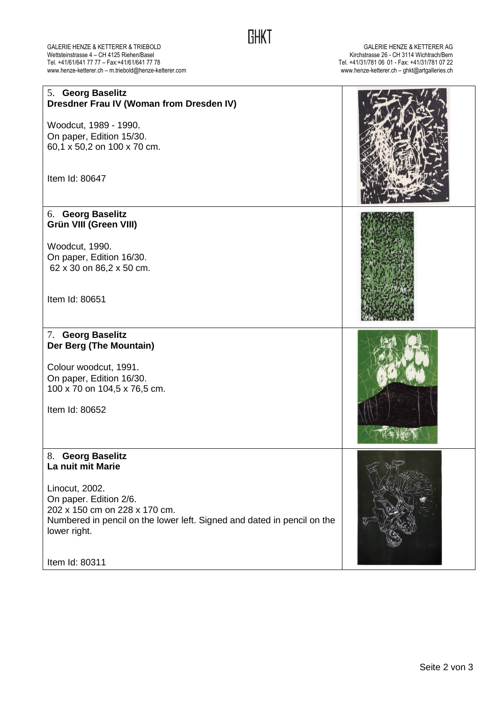## GALERIE HENZE & KETTERER & TRIEBOLD<br>GALERIE HENZE & KETTERER AG<br>Tel. +41/61/641 77 77 – Fax:+41/61/641 77 78 Tel. +41/31/781 06 01 - Fax:+41/31/781 07 22 Wettsteinstrasse 4 – CH 4125 Riehen/Basel Kirchstrasse 26 - CH 3114 Wichtrach/Bern Tel. +41/61/641 77 77 – Fax:+41/61/641 77 78 Tel. +41/31/781 06 01 - Fax: +41/31/781 07 22 www.henze-ketterer.ch – m.triebold@henze-ketterer.com www.henze-ketterer.ch – ghkt@artgalleries.ch

| 5. Georg Baselitz<br>Dresdner Frau IV (Woman from Dresden IV)<br>Woodcut, 1989 - 1990.<br>On paper, Edition 15/30.<br>60,1 x 50,2 on 100 x 70 cm.<br>Item Id: 80647                                                              |  |
|----------------------------------------------------------------------------------------------------------------------------------------------------------------------------------------------------------------------------------|--|
| 6. Georg Baselitz<br>Grün VIII (Green VIII)<br>Woodcut, 1990.<br>On paper, Edition 16/30.<br>62 x 30 on 86,2 x 50 cm.<br>Item Id: 80651                                                                                          |  |
| 7. Georg Baselitz<br>Der Berg (The Mountain)<br>Colour woodcut, 1991.<br>On paper, Edition 16/30.<br>100 x 70 on 104,5 x 76,5 cm.<br>Item Id: 80652                                                                              |  |
| 8. Georg Baselitz<br>La nuit mit Marie<br>Linocut, 2002.<br>On paper. Edition 2/6.<br>202 x 150 cm on 228 x 170 cm.<br>Numbered in pencil on the lower left. Signed and dated in pencil on the<br>lower right.<br>Item Id: 80311 |  |

**GHKT**